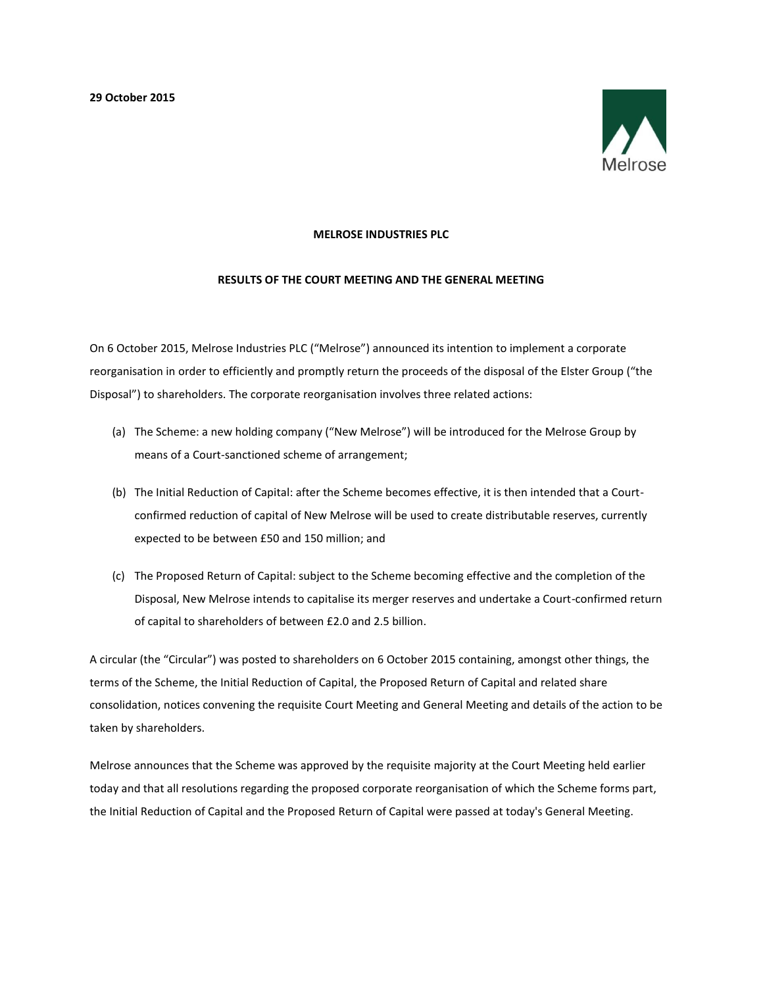**29 October 2015**



## **MELROSE INDUSTRIES PLC**

## **RESULTS OF THE COURT MEETING AND THE GENERAL MEETING**

On 6 October 2015, Melrose Industries PLC ("Melrose") announced its intention to implement a corporate reorganisation in order to efficiently and promptly return the proceeds of the disposal of the Elster Group ("the Disposal") to shareholders. The corporate reorganisation involves three related actions:

- (a) The Scheme: a new holding company ("New Melrose") will be introduced for the Melrose Group by means of a Court-sanctioned scheme of arrangement;
- (b) The Initial Reduction of Capital: after the Scheme becomes effective, it is then intended that a Courtconfirmed reduction of capital of New Melrose will be used to create distributable reserves, currently expected to be between £50 and 150 million; and
- (c) The Proposed Return of Capital: subject to the Scheme becoming effective and the completion of the Disposal, New Melrose intends to capitalise its merger reserves and undertake a Court-confirmed return of capital to shareholders of between £2.0 and 2.5 billion.

A circular (the "Circular") was posted to shareholders on 6 October 2015 containing, amongst other things, the terms of the Scheme, the Initial Reduction of Capital, the Proposed Return of Capital and related share consolidation, notices convening the requisite Court Meeting and General Meeting and details of the action to be taken by shareholders.

Melrose announces that the Scheme was approved by the requisite majority at the Court Meeting held earlier today and that all resolutions regarding the proposed corporate reorganisation of which the Scheme forms part, the Initial Reduction of Capital and the Proposed Return of Capital were passed at today's General Meeting.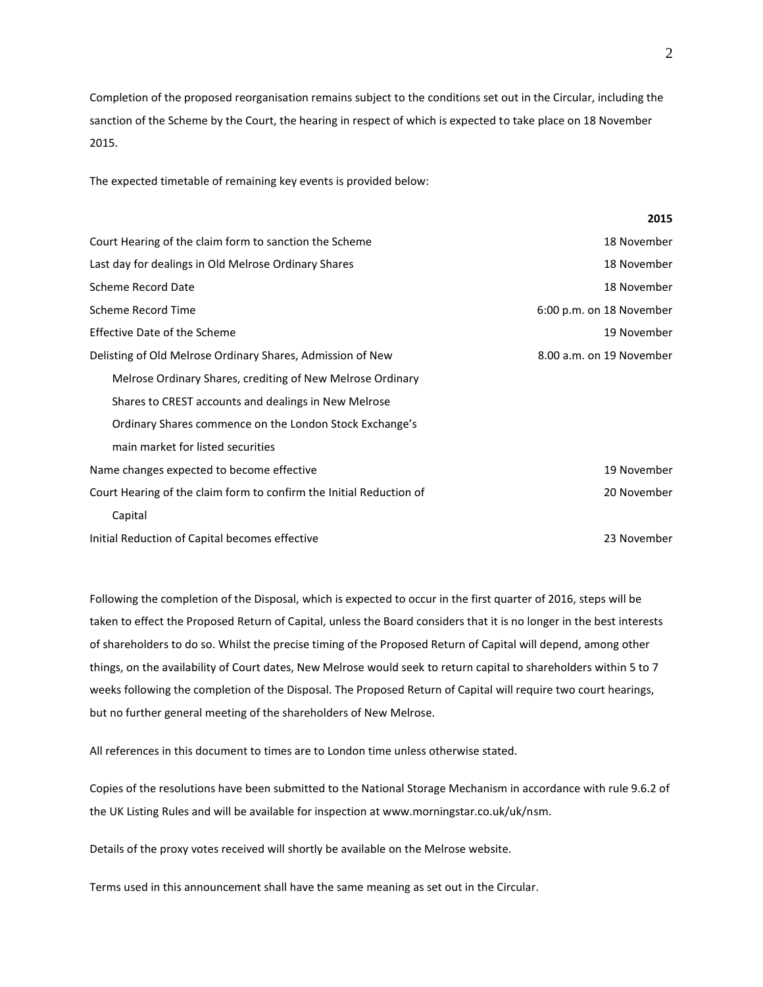Completion of the proposed reorganisation remains subject to the conditions set out in the Circular, including the sanction of the Scheme by the Court, the hearing in respect of which is expected to take place on 18 November 2015.

The expected timetable of remaining key events is provided below:

| Court Hearing of the claim form to sanction the Scheme              | 18 November              |
|---------------------------------------------------------------------|--------------------------|
| Last day for dealings in Old Melrose Ordinary Shares                | 18 November              |
| <b>Scheme Record Date</b>                                           | 18 November              |
| Scheme Record Time                                                  | 6:00 p.m. on 18 November |
| Effective Date of the Scheme                                        | 19 November              |
| Delisting of Old Melrose Ordinary Shares, Admission of New          | 8.00 a.m. on 19 November |
| Melrose Ordinary Shares, crediting of New Melrose Ordinary          |                          |
| Shares to CREST accounts and dealings in New Melrose                |                          |
| Ordinary Shares commence on the London Stock Exchange's             |                          |
| main market for listed securities                                   |                          |
| Name changes expected to become effective                           | 19 November              |
| Court Hearing of the claim form to confirm the Initial Reduction of | 20 November              |
| Capital                                                             |                          |
| Initial Reduction of Capital becomes effective                      | 23 November              |

Following the completion of the Disposal, which is expected to occur in the first quarter of 2016, steps will be taken to effect the Proposed Return of Capital, unless the Board considers that it is no longer in the best interests of shareholders to do so. Whilst the precise timing of the Proposed Return of Capital will depend, among other things, on the availability of Court dates, New Melrose would seek to return capital to shareholders within 5 to 7 weeks following the completion of the Disposal. The Proposed Return of Capital will require two court hearings, but no further general meeting of the shareholders of New Melrose.

All references in this document to times are to London time unless otherwise stated.

Copies of the resolutions have been submitted to the National Storage Mechanism in accordance with rule 9.6.2 of the UK Listing Rules and will be available for inspection at www.morningstar.co.uk/uk/nsm.

Details of the proxy votes received will shortly be available on the Melrose website.

Terms used in this announcement shall have the same meaning as set out in the Circular.

**2015**